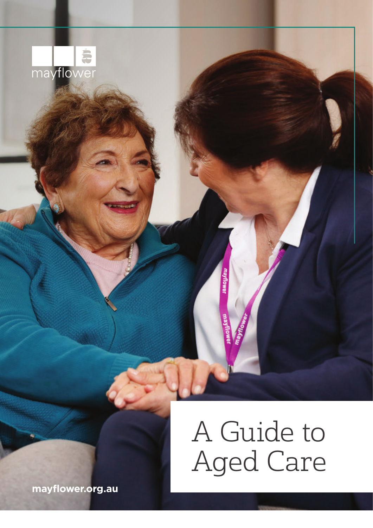

# A Guide to Aged Care

**[mayflower.org.au](http://www.mayflower.org.au/)**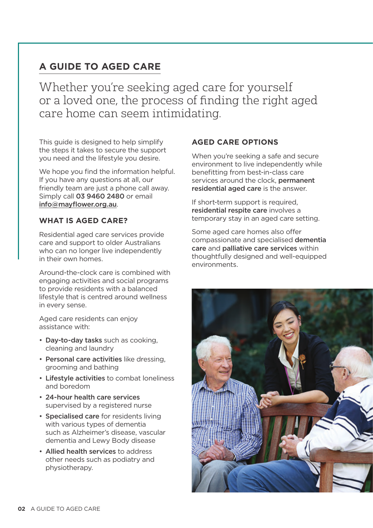### **A GUIDE TO AGED CARE**

Whether you're seeking aged care for yourself or a loved one, the process of finding the right aged care home can seem intimidating.

This guide is designed to help simplify the steps it takes to secure the support you need and the lifestyle you desire.

We hope you find the information helpful. If you have any questions at all, our friendly team are just a phone call away. Simply call 03 9460 2480 or email [info@mayflower.org.au](mailto:info%40mayflower.org.au?subject=).

#### **WHAT IS AGED CARE?**

Residential aged care services provide care and support to older Australians who can no longer live independently in their own homes.

Around-the-clock care is combined with engaging activities and social programs to provide residents with a balanced lifestyle that is centred around wellness in every sense.

Aged care residents can enjoy assistance with:

- Day-to-day tasks such as cooking, cleaning and laundry
- Personal care activities like dressing, grooming and bathing
- Lifestyle activities to combat loneliness and boredom
- 24-hour health care services supervised by a registered nurse
- Specialised care for residents living with various types of dementia such as Alzheimer's disease, vascular dementia and Lewy Body disease
- Allied health services to address other needs such as podiatry and physiotherapy.

#### **AGED CARE OPTIONS**

When you're seeking a safe and secure environment to live independently while benefitting from best-in-class care services around the clock, permanent residential aged care is the answer.

If short-term support is required, residential respite care involves a temporary stay in an aged care setting.

Some aged care homes also offer compassionate and specialised dementia care and palliative care services within thoughtfully designed and well-equipped environments.

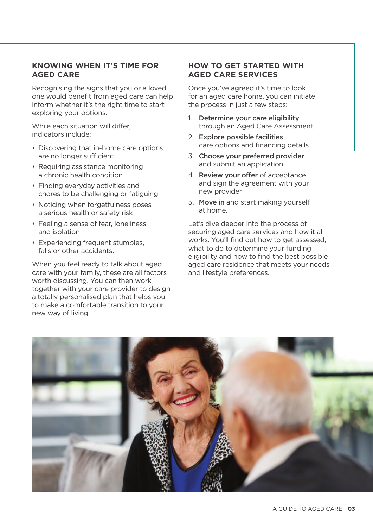#### **KNOWING WHEN IT'S TIME FOR AGED CARE**

Recognising the signs that you or a loved one would benefit from aged care can help inform whether it's the right time to start exploring your options.

While each situation will differ, indicators include:

- Discovering that in-home care options are no longer sufficient
- Requiring assistance monitoring a chronic health condition
- Finding everyday activities and chores to be challenging or fatiguing
- Noticing when forgetfulness poses a serious health or safety risk
- Feeling a sense of fear, loneliness and isolation
- Experiencing frequent stumbles, falls or other accidents.

When you feel ready to talk about aged care with your family, these are all factors worth discussing. You can then work together with your care provider to design a totally personalised plan that helps you to make a comfortable transition to your new way of living.

#### **HOW TO GET STARTED WITH AGED CARE SERVICES**

Once you've agreed it's time to look for an aged care home, you can initiate the process in just a few steps:

- 1. Determine your care eligibility through an Aged Care Assessment
- 2. Explore possible facilities, care options and financing details
- 3. Choose your preferred provider and submit an application
- 4. Review your offer of acceptance and sign the agreement with your new provider
- 5. Move in and start making yourself at home.

Let's dive deeper into the process of securing aged care services and how it all works. You'll find out how to get assessed, what to do to determine your funding eligibility and how to find the best possible aged care residence that meets your needs and lifestyle preferences.

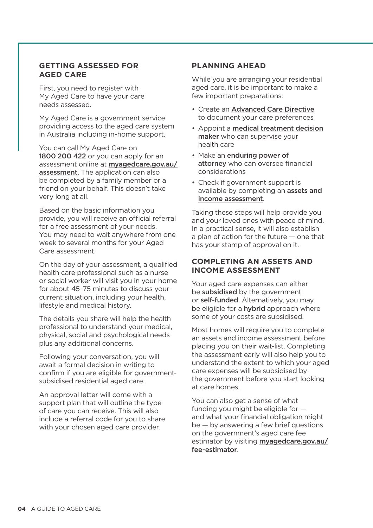#### **GETTING ASSESSED FOR AGED CARE**

First, you need to register with My Aged Care to have your care needs assessed.

My Aged Care is a government service providing access to the aged care system in Australia including in-home support.

You can call My Aged Care on 1800 200 422 or you can apply for an assessment online at [myagedcare.gov.au/](https://www.myagedcare.gov.au/assessment) [assessment](https://www.myagedcare.gov.au/assessment). The application can also be completed by a family member or a friend on your behalf. This doesn't take very long at all.

Based on the basic information you provide, you will receive an official referral for a free assessment of your needs. You may need to wait anywhere from one week to several months for your Aged Care assessment.

On the day of your assessment, a qualified health care professional such as a nurse or social worker will visit you in your home for about 45–75 minutes to discuss your current situation, including your health, lifestyle and medical history.

The details you share will help the health professional to understand your medical, physical, social and psychological needs plus any additional concerns.

Following your conversation, you will await a formal decision in writing to confirm if you are eligible for governmentsubsidised residential aged care.

An approval letter will come with a support plan that will outline the type of care you can receive. This will also include a referral code for you to share with your chosen aged care provider.

#### **PLANNING AHEAD**

While you are arranging your residential aged care, it is be important to make a few important preparations:

- Create an [Advanced Care Directive](https://www2.health.vic.gov.au/hospitals-and-health-services/patient-care/end-of-life-care/advance-care-planning/acp-forms) to document your care preferences
- Appoint a [medical treatment decision](https://www2.health.vic.gov.au/hospitals-and-health-services/patient-care/end-of-life-care/advance-care-planning/acp-forms) [maker](https://www2.health.vic.gov.au/hospitals-and-health-services/patient-care/end-of-life-care/advance-care-planning/acp-forms) who can supervise your health care
- Make an [enduring power of](https://www.publicadvocate.vic.gov.au/power-of-attorney/enduring-power-of-attorney) [attorney](https://www.publicadvocate.vic.gov.au/power-of-attorney/enduring-power-of-attorney) who can oversee financial considerations
- Check if government support is available by completing an [assets and](https://www.myagedcare.gov.au/income-and-means-assessments/) [income assessment](https://www.myagedcare.gov.au/income-and-means-assessments/).

Taking these steps will help provide you and your loved ones with peace of mind. In a practical sense, it will also establish a plan of action for the future — one that has your stamp of approval on it.

#### **COMPLETING AN ASSETS AND INCOME ASSESSMENT**

Your aged care expenses can either be subsidised by the government or self-funded. Alternatively, you may be eligible for a **hybrid** approach where some of your costs are subsidised.

Most homes will require you to complete an assets and income assessment before placing you on their wait-list. Completing the assessment early will also help you to understand the extent to which your aged care expenses will be subsidised by the government before you start looking at care homes.

You can also get a sense of what funding you might be eligible for and what your financial obligation might be — by answering a few brief questions on the government's aged care fee estimator by visiting [myagedcare.gov.au/](https://www.myagedcare.gov.au/fee-estimator) [fee-estimator](https://www.myagedcare.gov.au/fee-estimator).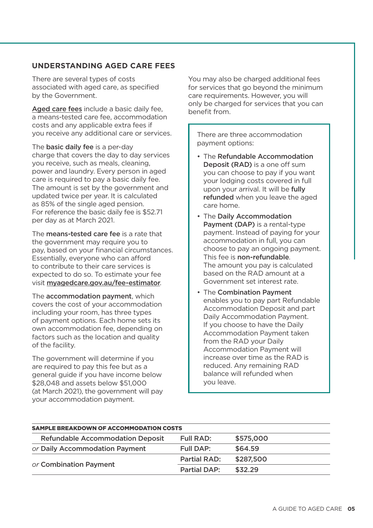#### **UNDERSTANDING AGED CARE FEES**

There are several types of costs associated with aged care, as specified by the Government.

[Aged care fees](https://www.myagedcare.gov.au/aged-care-home-costs-and-fees) include a basic daily fee. a means-tested care fee, accommodation costs and any applicable extra fees if you receive any additional care or services.

The **basic daily fee** is a per-day charge that covers the day to day services you receive, such as meals, cleaning, power and laundry. Every person in aged care is required to pay a basic daily fee. The amount is set by the government and updated twice per year. It is calculated as 85% of the single aged pension. For reference the basic daily fee is \$52.71 per day as at March 2021.

The **means-tested care fee** is a rate that the government may require you to pay, based on your financial circumstances. Essentially, everyone who can afford to contribute to their care services is expected to do so. To estimate your fee visit [myagedcare.gov.au/fee-estimator](https://www.myagedcare.gov.au/fee-estimator).

The accommodation payment, which covers the cost of your accommodation including your room, has three types of payment options. Each home sets its own accommodation fee, depending on factors such as the location and quality of the facility.

The government will determine if you are required to pay this fee but as a general guide if you have income below \$28,048 and assets below \$51,000 (at March 2021), the government will pay your accommodation payment.

You may also be charged additional fees for services that go beyond the minimum care requirements. However, you will only be charged for services that you can benefit from.

There are three accommodation payment options:

- The Refundable Accommodation Deposit (RAD) is a one off sum you can choose to pay if you want your lodging costs covered in full upon your arrival. It will be fully refunded when you leave the aged care home.
- The Daily Accommodation Payment (DAP) is a rental-type payment. Instead of paying for your accommodation in full, you can choose to pay an ongoing payment. This fee is non-refundable. The amount you pay is calculated based on the RAD amount at a Government set interest rate.
- The Combination Payment enables you to pay part Refundable Accommodation Deposit and part Daily Accommodation Payment. If you choose to have the Daily Accommodation Payment taken from the RAD your Daily Accommodation Payment will increase over time as the RAD is reduced. Any remaining RAD balance will refunded when you leave.

| <b>SAMPLE BREAKDOWN OF ACCOMMODATION COSTS</b> |                     |           |
|------------------------------------------------|---------------------|-----------|
| <b>Refundable Accommodation Deposit</b>        | Full RAD:           | \$575,000 |
| or Daily Accommodation Payment                 | Full DAP:           | \$64.59   |
| or Combination Payment                         | <b>Partial RAD:</b> | \$287,500 |
|                                                | <b>Partial DAP:</b> | \$32.29   |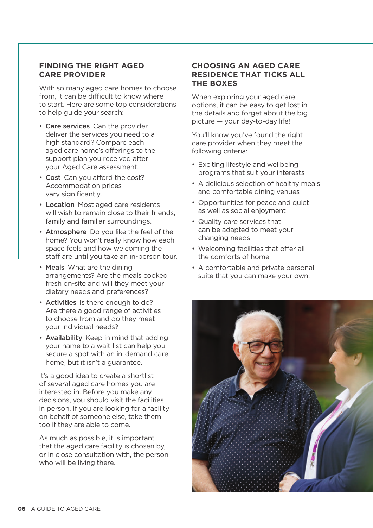#### **FINDING THE RIGHT AGED CARE PROVIDER**

With so many aged care homes to choose from, it can be difficult to know where to start. Here are some top considerations to help guide your search:

- Care services Can the provider deliver the services you need to a high standard? Compare each aged care home's offerings to the support plan you received after your Aged Care assessment.
- Cost Can you afford the cost? Accommodation prices vary significantly.
- Location Most aged care residents will wish to remain close to their friends. family and familiar surroundings.
- Atmosphere Do you like the feel of the home? You won't really know how each space feels and how welcoming the staff are until you take an in-person tour.
- Meals What are the dining arrangements? Are the meals cooked fresh on-site and will they meet your dietary needs and preferences?
- Activities Is there enough to do? Are there a good range of activities to choose from and do they meet your individual needs?
- Availability Keep in mind that adding your name to a wait-list can help you secure a spot with an in-demand care home, but it isn't a guarantee.

It's a good idea to create a shortlist of several aged care homes you are interested in. Before you make any decisions, you should visit the facilities in person. If you are looking for a facility on behalf of someone else, take them too if they are able to come.

As much as possible, it is important that the aged care facility is chosen by, or in close consultation with, the person who will be living there.

#### **CHOOSING AN AGED CARE RESIDENCE THAT TICKS ALL THE BOXES**

When exploring your aged care options, it can be easy to get lost in the details and forget about the big picture — your day-to-day life!

You'll know you've found the right care provider when they meet the following criteria:

- Exciting lifestyle and wellbeing programs that suit your interests
- A delicious selection of healthy meals and comfortable dining venues
- Opportunities for peace and quiet as well as social enjoyment
- Quality care services that can be adapted to meet your changing needs
- Welcoming facilities that offer all the comforts of home
- A comfortable and private personal suite that you can make your own.

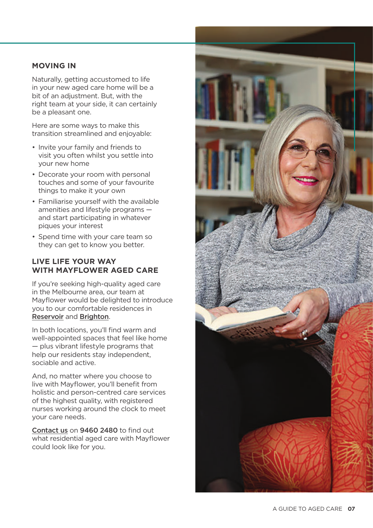#### **MOVING IN**

Naturally, getting accustomed to life in your new aged care home will be a bit of an adjustment. But, with the right team at your side, it can certainly be a pleasant one.

Here are some ways to make this transition streamlined and enjoyable:

- Invite your family and friends to visit you often whilst you settle into your new home
- Decorate your room with personal touches and some of your favourite things to make it your own
- Familiarise yourself with the available amenities and lifestyle programs and start participating in whatever piques your interest
- Spend time with your care team so they can get to know you better.

#### **LIVE LIFE YOUR WAY WITH MAYFLOWER AGED CARE**

If you're seeking high-quality aged care in the Melbourne area, our team at Mayflower would be delighted to introduce you to our comfortable residences in [Reservoir](https://www.mayflower.org.au/aged-care/mayflower-reservoir/) and [Brighton](https://www.mayflower.org.au/aged-care/mayflower-brighton/).

In both locations, you'll find warm and well-appointed spaces that feel like home — plus vibrant lifestyle programs that help our residents stay independent, sociable and active.

And, no matter where you choose to live with Mayflower, you'll benefit from holistic and person-centred care services of the highest quality, with registered nurses working around the clock to meet your care needs.

[Contact us](https://www.mayflower.org.au/contact-us/) on 9460 2480 to find out what residential aged care with Mayflower could look like for you.